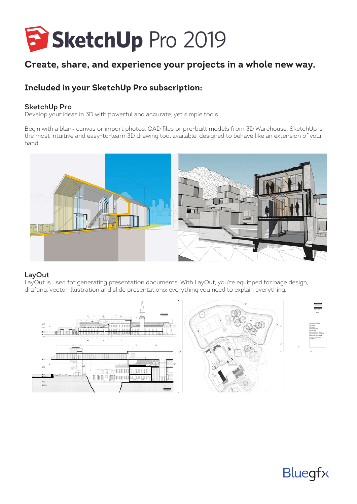

# **Create, share, and experience your projects in a whole new way.**

## **Included in your SketchUp Pro subscription:**

#### SketchUp Pro

Develop your ideas in 3D with powerful and accurate, yet simple tools.

Begin with a blank canvas or import photos, CAD files or pre-built models from 3D Warehouse. SketchUp is the most intuitive and easy-to-learn 3D drawing tool available, designed to behave like an extension of your hand.



#### LayOut

LayOut is used for generating presentation documents. With LayOut, you're equipped for page design, drafting, vector illustration and slide presentations: everything you need to explain everything.



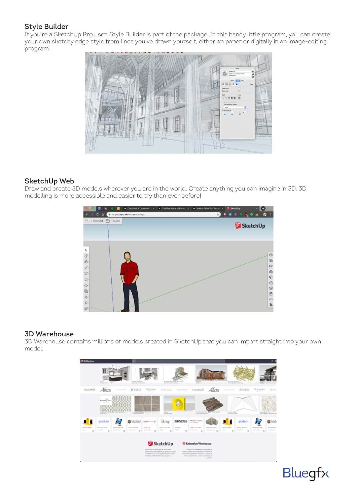### Style Builder

If you're a SketchUp Pro user, Style Builder is part of the package. In this handy little program, you can create your own sketchy edge style from lines you've drawn yourself, either on paper or digitally in an image-editing program.



#### SketchUp Web

Draw and create 3D models wherever you are in the world. Create anything you can imagine in 3D. 3D modelling is more accessible and easier to try than ever before!



#### 3D Warehouse

3D Warehouse contains millions of models created in SketchUp that you can import straight into your own model.